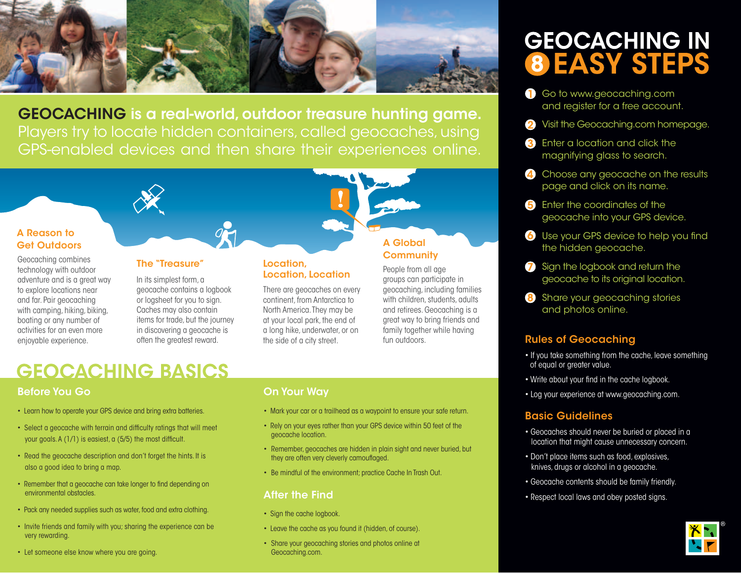

GEOCACHING is a real-world, outdoor treasure hunting game. Players try to locate hidden containers, called geocaches, using GPS-enabled devices and then share their experiences online.

### A Reason to Get Outdoors

Geocaching combines technology with outdoor adventure and is a great way to explore locations near and far. Pair geocaching with camping, hiking, biking, boating or any number of activities for an even more enjoyable experience.

### The "Treasure"

In its simplest form, a geocache contains a logbook or logsheet for you to sign. Caches may also contain items for trade, but the journey in discovering a geocache is often the greatest reward.

### Location, Location, Location

There are geocaches on every continent, from Antarctica to North America. They may be at your local park, the end of a long hike, underwater, or on the side of a city street.

# **GEOCACHING BASICS**

# Before You Go

- Learn how to operate your GPS device and bring extra batteries.
- Select a geocache with terrain and difficulty ratings that will meet your goals. A (1/1) is easiest, a (5/5) the most difficult.
- Read the geocache description and don't forget the hints. It is also a good idea to bring a map.
- Remember that a geocache can take longer to find depending on environmental obstacles.
- Pack any needed supplies such as water, food and extra clothing.
- Invite friends and family with you; sharing the experience can be very rewarding.
- Let someone else know where you are going.

### On Your Way

• Mark your car or a trailhead as a waypoint to ensure your safe return.

A Global **Community** People from all age groups can participate in geocaching, including families with children, students, adults and retirees. Geocaching is a great way to bring friends and family together while having

fun outdoors.

- Rely on your eyes rather than your GPS device within 50 feet of the geocache location.
- Remember, geocaches are hidden in plain sight and never buried, but they are often very cleverly camouflaged.
- Be mindful of the environment; practice Cache In Trash Out.

# After the Find

- Sign the cache logbook.
- Leave the cache as you found it (hidden, of course).
- Share your geocaching stories and photos online at Geocaching.com.

# **GEOCACHING IN 8 EASY STEPS**

- **Go to www.geocaching.com** and register for a free account.
- 2 Visit the Geocaching.com homepage.
- **3** Enter a location and click the magnifying glass to search.
- 4 Choose any geocache on the results page and click on its name.
- **B** Enter the coordinates of the geocache into your GPS device.
- **6** Use your GPS device to help you find the hidden geocache.
- **7** Sign the logbook and return the geocache to its original location.
- 8 Share your geocaching stories and photos online.

# Rules of Geocaching

- If you take something from the cache, leave something of equal or greater value.
- Write about your find in the cache logbook.
- Log your experience at www.geocaching.com.

# Basic Guidelines

- Geocaches should never be buried or placed in a location that might cause unnecessary concern.
- Don't place items such as food, explosives, knives, drugs or alcohol in a geocache.
- Geocache contents should be family friendly.
- Respect local laws and obey posted signs.